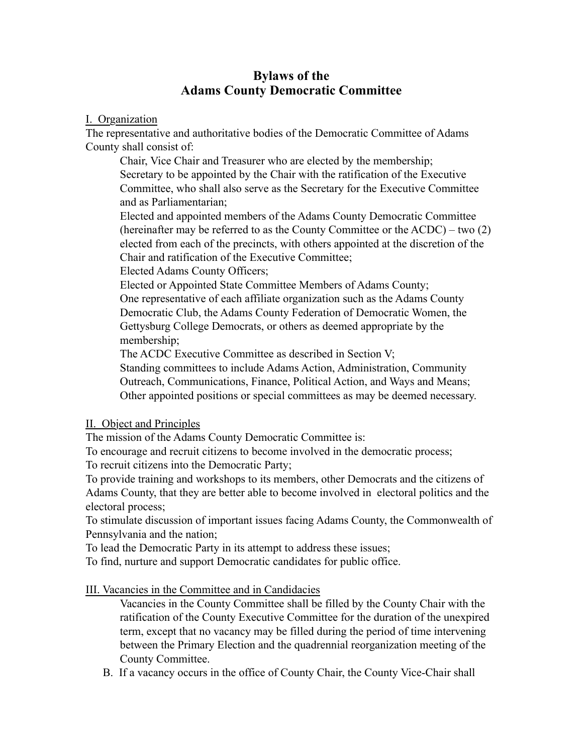# **Bylaws of the Adams County Democratic Committee**

### I. Organization

The representative and authoritative bodies of the Democratic Committee of Adams County shall consist of:

Chair, Vice Chair and Treasurer who are elected by the membership; Secretary to be appointed by the Chair with the ratification of the Executive Committee, who shall also serve as the Secretary for the Executive Committee and as Parliamentarian;

Elected and appointed members of the Adams County Democratic Committee (hereinafter may be referred to as the County Committee or the ACDC) – two (2) elected from each of the precincts, with others appointed at the discretion of the Chair and ratification of the Executive Committee;

Elected Adams County Officers;

Elected or Appointed State Committee Members of Adams County;

One representative of each affiliate organization such as the Adams County Democratic Club, the Adams County Federation of Democratic Women, the Gettysburg College Democrats, or others as deemed appropriate by the membership;

The ACDC Executive Committee as described in Section V;

Standing committees to include Adams Action, Administration, Community Outreach, Communications, Finance, Political Action, and Ways and Means; Other appointed positions or special committees as may be deemed necessary.

# II. Object and Principles

The mission of the Adams County Democratic Committee is:

To encourage and recruit citizens to become involved in the democratic process;

To recruit citizens into the Democratic Party;

To provide training and workshops to its members, other Democrats and the citizens of Adams County, that they are better able to become involved in electoral politics and the electoral process;

To stimulate discussion of important issues facing Adams County, the Commonwealth of Pennsylvania and the nation;

To lead the Democratic Party in its attempt to address these issues;

To find, nurture and support Democratic candidates for public office.

III. Vacancies in the Committee and in Candidacies

Vacancies in the County Committee shall be filled by the County Chair with the ratification of the County Executive Committee for the duration of the unexpired term, except that no vacancy may be filled during the period of time intervening between the Primary Election and the quadrennial reorganization meeting of the County Committee.

B. If a vacancy occurs in the office of County Chair, the County Vice-Chair shall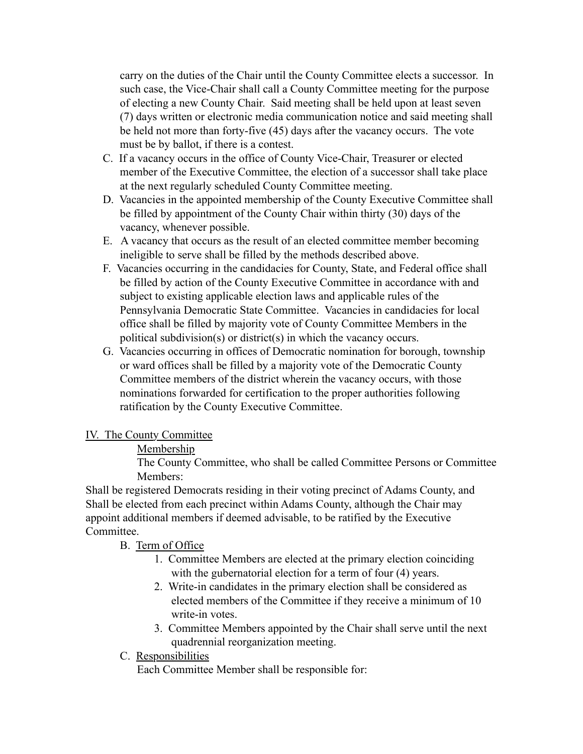carry on the duties of the Chair until the County Committee elects a successor. In such case, the Vice-Chair shall call a County Committee meeting for the purpose of electing a new County Chair. Said meeting shall be held upon at least seven (7) days written or electronic media communication notice and said meeting shall be held not more than forty-five (45) days after the vacancy occurs. The vote must be by ballot, if there is a contest.

- C. If a vacancy occurs in the office of County Vice-Chair, Treasurer or elected member of the Executive Committee, the election of a successor shall take place at the next regularly scheduled County Committee meeting.
- D. Vacancies in the appointed membership of the County Executive Committee shall be filled by appointment of the County Chair within thirty (30) days of the vacancy, whenever possible.
- E. A vacancy that occurs as the result of an elected committee member becoming ineligible to serve shall be filled by the methods described above.
- F. Vacancies occurring in the candidacies for County, State, and Federal office shall be filled by action of the County Executive Committee in accordance with and subject to existing applicable election laws and applicable rules of the Pennsylvania Democratic State Committee. Vacancies in candidacies for local office shall be filled by majority vote of County Committee Members in the political subdivision(s) or district(s) in which the vacancy occurs.
- G. Vacancies occurring in offices of Democratic nomination for borough, township or ward offices shall be filled by a majority vote of the Democratic County Committee members of the district wherein the vacancy occurs, with those nominations forwarded for certification to the proper authorities following ratification by the County Executive Committee.

### IV. The County Committee

### Membership

The County Committee, who shall be called Committee Persons or Committee Members:

Shall be registered Democrats residing in their voting precinct of Adams County, and Shall be elected from each precinct within Adams County, although the Chair may appoint additional members if deemed advisable, to be ratified by the Executive Committee.

### B. Term of Office

- 1. Committee Members are elected at the primary election coinciding with the gubernatorial election for a term of four (4) years.
- 2. Write-in candidates in the primary election shall be considered as elected members of the Committee if they receive a minimum of 10 write-in votes.
- 3. Committee Members appointed by the Chair shall serve until the next quadrennial reorganization meeting.
- C. Responsibilities

Each Committee Member shall be responsible for: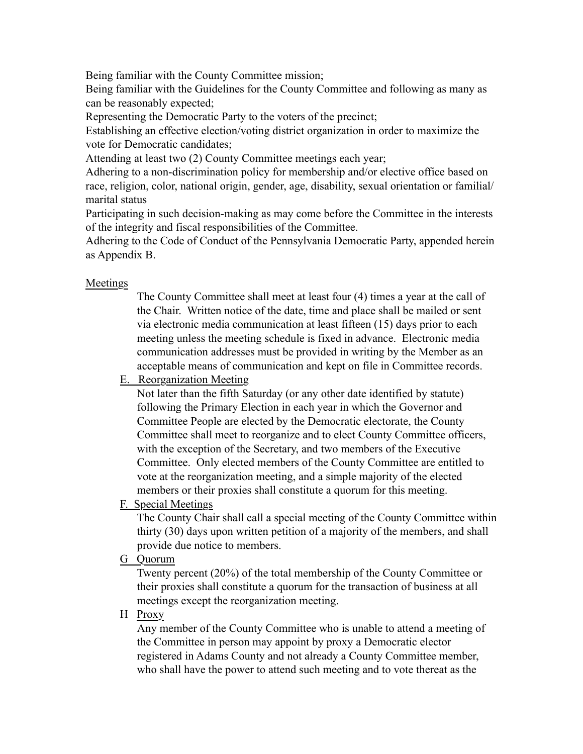Being familiar with the County Committee mission;

Being familiar with the Guidelines for the County Committee and following as many as can be reasonably expected;

Representing the Democratic Party to the voters of the precinct;

Establishing an effective election/voting district organization in order to maximize the vote for Democratic candidates;

Attending at least two (2) County Committee meetings each year;

Adhering to a non-discrimination policy for membership and/or elective office based on race, religion, color, national origin, gender, age, disability, sexual orientation or familial/ marital status

Participating in such decision-making as may come before the Committee in the interests of the integrity and fiscal responsibilities of the Committee.

Adhering to the Code of Conduct of the Pennsylvania Democratic Party, appended herein as Appendix B.

### Meetings

The County Committee shall meet at least four (4) times a year at the call of the Chair. Written notice of the date, time and place shall be mailed or sent via electronic media communication at least fifteen (15) days prior to each meeting unless the meeting schedule is fixed in advance. Electronic media communication addresses must be provided in writing by the Member as an acceptable means of communication and kept on file in Committee records.

E. Reorganization Meeting

Not later than the fifth Saturday (or any other date identified by statute) following the Primary Election in each year in which the Governor and Committee People are elected by the Democratic electorate, the County Committee shall meet to reorganize and to elect County Committee officers, with the exception of the Secretary, and two members of the Executive Committee. Only elected members of the County Committee are entitled to vote at the reorganization meeting, and a simple majority of the elected members or their proxies shall constitute a quorum for this meeting.

F. Special Meetings

The County Chair shall call a special meeting of the County Committee within thirty (30) days upon written petition of a majority of the members, and shall provide due notice to members.

G Quorum

Twenty percent (20%) of the total membership of the County Committee or their proxies shall constitute a quorum for the transaction of business at all meetings except the reorganization meeting.

H Proxy

Any member of the County Committee who is unable to attend a meeting of the Committee in person may appoint by proxy a Democratic elector registered in Adams County and not already a County Committee member, who shall have the power to attend such meeting and to vote thereat as the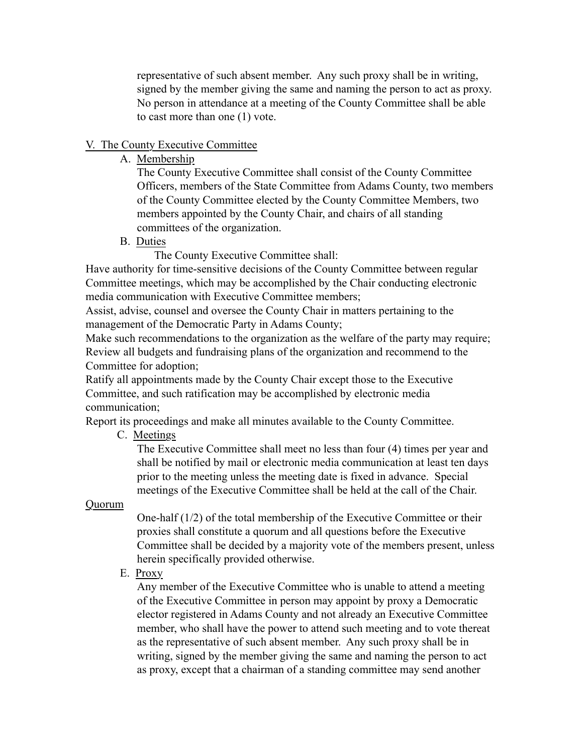representative of such absent member. Any such proxy shall be in writing, signed by the member giving the same and naming the person to act as proxy. No person in attendance at a meeting of the County Committee shall be able to cast more than one (1) vote.

### V. The County Executive Committee

A. Membership

The County Executive Committee shall consist of the County Committee Officers, members of the State Committee from Adams County, two members of the County Committee elected by the County Committee Members, two members appointed by the County Chair, and chairs of all standing committees of the organization.

B. Duties

The County Executive Committee shall:

Have authority for time-sensitive decisions of the County Committee between regular Committee meetings, which may be accomplished by the Chair conducting electronic media communication with Executive Committee members;

Assist, advise, counsel and oversee the County Chair in matters pertaining to the management of the Democratic Party in Adams County;

Make such recommendations to the organization as the welfare of the party may require; Review all budgets and fundraising plans of the organization and recommend to the Committee for adoption;

Ratify all appointments made by the County Chair except those to the Executive Committee, and such ratification may be accomplished by electronic media communication;

Report its proceedings and make all minutes available to the County Committee.

C. Meetings

The Executive Committee shall meet no less than four (4) times per year and shall be notified by mail or electronic media communication at least ten days prior to the meeting unless the meeting date is fixed in advance. Special meetings of the Executive Committee shall be held at the call of the Chair.

### Quorum

One-half (1/2) of the total membership of the Executive Committee or their proxies shall constitute a quorum and all questions before the Executive Committee shall be decided by a majority vote of the members present, unless herein specifically provided otherwise.

E. Proxy

Any member of the Executive Committee who is unable to attend a meeting of the Executive Committee in person may appoint by proxy a Democratic elector registered in Adams County and not already an Executive Committee member, who shall have the power to attend such meeting and to vote thereat as the representative of such absent member. Any such proxy shall be in writing, signed by the member giving the same and naming the person to act as proxy, except that a chairman of a standing committee may send another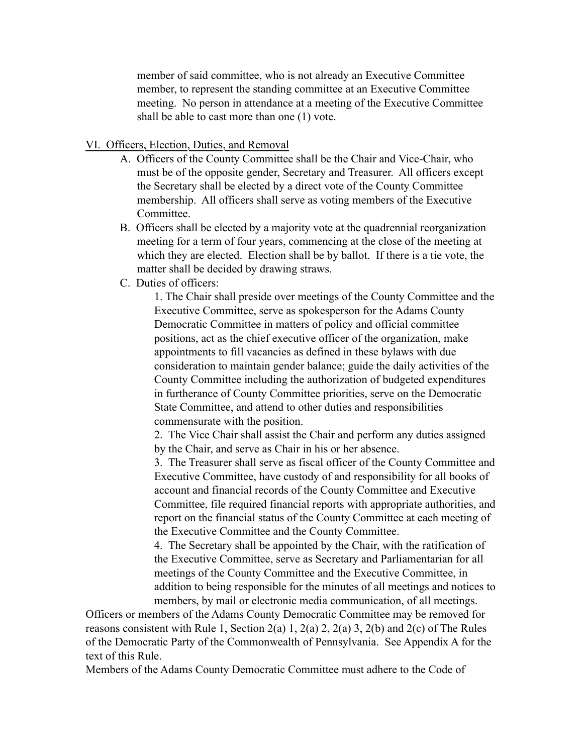member of said committee, who is not already an Executive Committee member, to represent the standing committee at an Executive Committee meeting. No person in attendance at a meeting of the Executive Committee shall be able to cast more than one (1) vote.

#### VI. Officers, Election, Duties, and Removal

- A. Officers of the County Committee shall be the Chair and Vice-Chair, who must be of the opposite gender, Secretary and Treasurer. All officers except the Secretary shall be elected by a direct vote of the County Committee membership. All officers shall serve as voting members of the Executive Committee.
- B. Officers shall be elected by a majority vote at the quadrennial reorganization meeting for a term of four years, commencing at the close of the meeting at which they are elected. Election shall be by ballot. If there is a tie vote, the matter shall be decided by drawing straws.
- C. Duties of officers:

1. The Chair shall preside over meetings of the County Committee and the Executive Committee, serve as spokesperson for the Adams County Democratic Committee in matters of policy and official committee positions, act as the chief executive officer of the organization, make appointments to fill vacancies as defined in these bylaws with due consideration to maintain gender balance; guide the daily activities of the County Committee including the authorization of budgeted expenditures in furtherance of County Committee priorities, serve on the Democratic State Committee, and attend to other duties and responsibilities commensurate with the position.

2. The Vice Chair shall assist the Chair and perform any duties assigned by the Chair, and serve as Chair in his or her absence.

3. The Treasurer shall serve as fiscal officer of the County Committee and Executive Committee, have custody of and responsibility for all books of account and financial records of the County Committee and Executive Committee, file required financial reports with appropriate authorities, and report on the financial status of the County Committee at each meeting of the Executive Committee and the County Committee.

4. The Secretary shall be appointed by the Chair, with the ratification of the Executive Committee, serve as Secretary and Parliamentarian for all meetings of the County Committee and the Executive Committee, in addition to being responsible for the minutes of all meetings and notices to members, by mail or electronic media communication, of all meetings.

Officers or members of the Adams County Democratic Committee may be removed for reasons consistent with Rule 1, Section 2(a) 1, 2(a) 2, 2(a) 3, 2(b) and 2(c) of The Rules of the Democratic Party of the Commonwealth of Pennsylvania. See Appendix A for the text of this Rule.

Members of the Adams County Democratic Committee must adhere to the Code of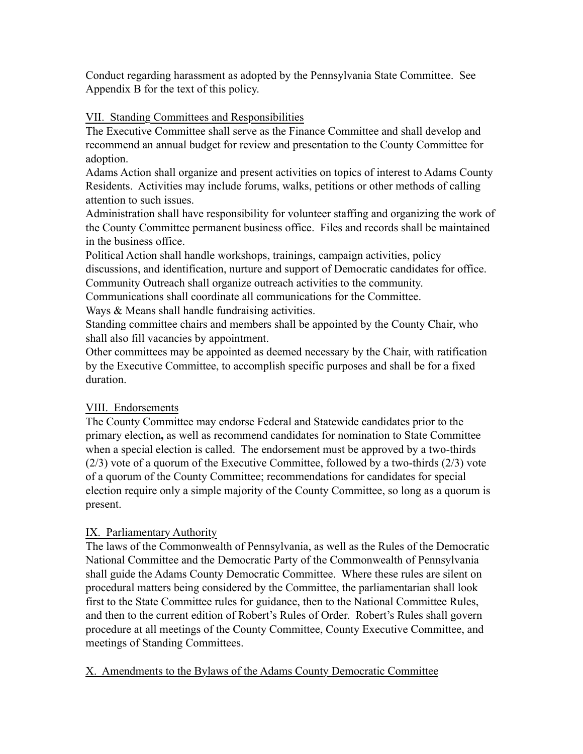Conduct regarding harassment as adopted by the Pennsylvania State Committee. See Appendix B for the text of this policy.

# VII. Standing Committees and Responsibilities

The Executive Committee shall serve as the Finance Committee and shall develop and recommend an annual budget for review and presentation to the County Committee for adoption.

Adams Action shall organize and present activities on topics of interest to Adams County Residents. Activities may include forums, walks, petitions or other methods of calling attention to such issues.

Administration shall have responsibility for volunteer staffing and organizing the work of the County Committee permanent business office. Files and records shall be maintained in the business office.

Political Action shall handle workshops, trainings, campaign activities, policy discussions, and identification, nurture and support of Democratic candidates for office. Community Outreach shall organize outreach activities to the community.

Communications shall coordinate all communications for the Committee.

Ways & Means shall handle fundraising activities.

Standing committee chairs and members shall be appointed by the County Chair, who shall also fill vacancies by appointment.

Other committees may be appointed as deemed necessary by the Chair, with ratification by the Executive Committee, to accomplish specific purposes and shall be for a fixed duration.

# VIII. Endorsements

The County Committee may endorse Federal and Statewide candidates prior to the primary election**,** as well as recommend candidates for nomination to State Committee when a special election is called. The endorsement must be approved by a two-thirds (2/3) vote of a quorum of the Executive Committee, followed by a two-thirds (2/3) vote of a quorum of the County Committee; recommendations for candidates for special election require only a simple majority of the County Committee, so long as a quorum is present.

# IX. Parliamentary Authority

The laws of the Commonwealth of Pennsylvania, as well as the Rules of the Democratic National Committee and the Democratic Party of the Commonwealth of Pennsylvania shall guide the Adams County Democratic Committee. Where these rules are silent on procedural matters being considered by the Committee, the parliamentarian shall look first to the State Committee rules for guidance, then to the National Committee Rules, and then to the current edition of Robert's Rules of Order. Robert's Rules shall govern procedure at all meetings of the County Committee, County Executive Committee, and meetings of Standing Committees.

# X. Amendments to the Bylaws of the Adams County Democratic Committee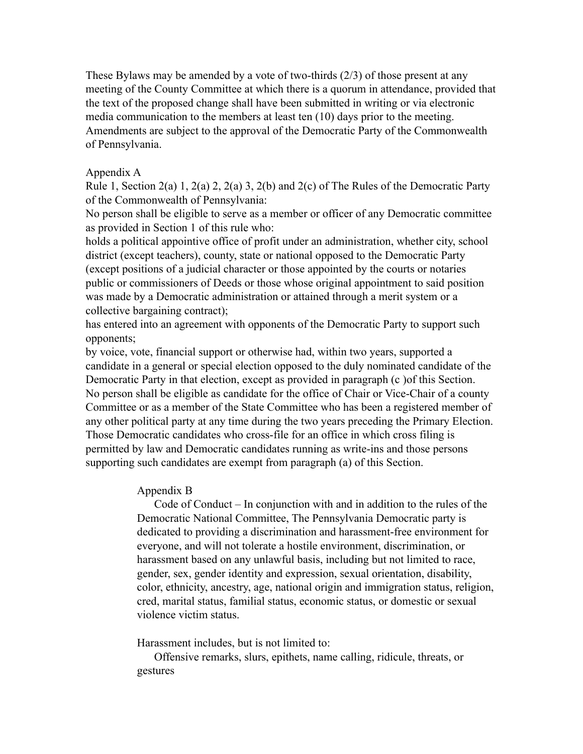These Bylaws may be amended by a vote of two-thirds  $(2/3)$  of those present at any meeting of the County Committee at which there is a quorum in attendance, provided that the text of the proposed change shall have been submitted in writing or via electronic media communication to the members at least ten (10) days prior to the meeting. Amendments are subject to the approval of the Democratic Party of the Commonwealth of Pennsylvania.

#### Appendix A

Rule 1, Section 2(a) 1, 2(a) 2, 2(a) 3, 2(b) and 2(c) of The Rules of the Democratic Party of the Commonwealth of Pennsylvania:

No person shall be eligible to serve as a member or officer of any Democratic committee as provided in Section 1 of this rule who:

holds a political appointive office of profit under an administration, whether city, school district (except teachers), county, state or national opposed to the Democratic Party (except positions of a judicial character or those appointed by the courts or notaries public or commissioners of Deeds or those whose original appointment to said position was made by a Democratic administration or attained through a merit system or a collective bargaining contract);

has entered into an agreement with opponents of the Democratic Party to support such opponents;

by voice, vote, financial support or otherwise had, within two years, supported a candidate in a general or special election opposed to the duly nominated candidate of the Democratic Party in that election, except as provided in paragraph (c )of this Section. No person shall be eligible as candidate for the office of Chair or Vice-Chair of a county Committee or as a member of the State Committee who has been a registered member of any other political party at any time during the two years preceding the Primary Election. Those Democratic candidates who cross-file for an office in which cross filing is permitted by law and Democratic candidates running as write-ins and those persons supporting such candidates are exempt from paragraph (a) of this Section.

### Appendix B

Code of Conduct – In conjunction with and in addition to the rules of the Democratic National Committee, The Pennsylvania Democratic party is dedicated to providing a discrimination and harassment-free environment for everyone, and will not tolerate a hostile environment, discrimination, or harassment based on any unlawful basis, including but not limited to race, gender, sex, gender identity and expression, sexual orientation, disability, color, ethnicity, ancestry, age, national origin and immigration status, religion, cred, marital status, familial status, economic status, or domestic or sexual violence victim status.

Harassment includes, but is not limited to:

Offensive remarks, slurs, epithets, name calling, ridicule, threats, or gestures